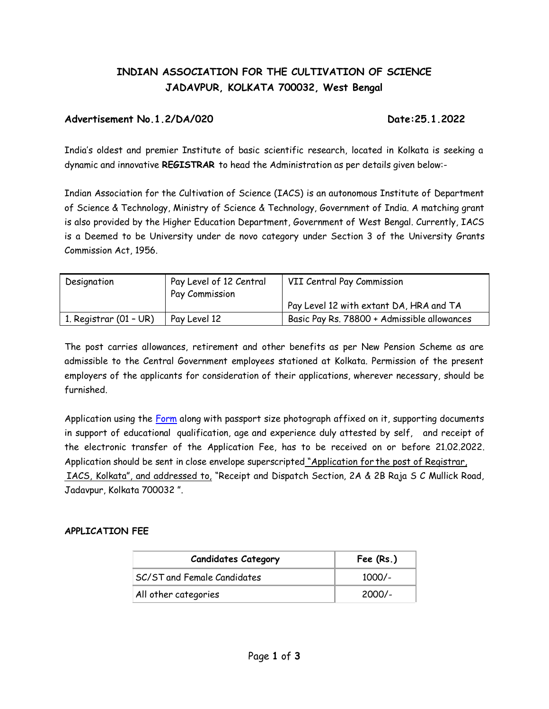# **INDIAN ASSOCIATION FOR THE CULTIVATION OF SCIENCE JADAVPUR, KOLKATA 700032, West Bengal**

## **Advertisement No.1.2/DA/020 Date:25.1.2022**

India's oldest and premier Institute of basic scientific research, located in Kolkata is seeking a dynamic and innovative **REGISTRAR** to head the Administration as per details given below:-

Indian Association for the Cultivation of Science (IACS) is an autonomous Institute of Department of Science & Technology, Ministry of Science & Technology, Government of India. A matching grant is also provided by the Higher Education Department, Government of West Bengal. Currently, IACS is a Deemed to be University under de novo category under Section 3 of the University Grants Commission Act, 1956.

| Designation              | Pay Level of 12 Central<br>Pay Commission | VII Central Pay Commission                  |
|--------------------------|-------------------------------------------|---------------------------------------------|
|                          |                                           | Pay Level 12 with extant DA, HRA and TA     |
| 1. Registrar $(01 - UR)$ | Pay Level 12                              | Basic Pay Rs. 78800 + Admissible allowances |

The post carries allowances, retirement and other benefits as per New Pension Scheme as are admissible to the Central Government employees stationed at Kolkata. Permission of the present employers of the applicants for consideration of their applications, wherever necessary, should be furnished.

Application using the [Form](http://iacs.res.in/iacsform_v1.pdf) along with passport size photograph affixed on it, supporting documents in support of educational qualification, age and experience duly attested by self, and receipt of the electronic transfer of the Application Fee, has to be received on or before 21.02.2022. Application should be sent in close envelope superscripted "Application for the post of Registrar, IACS, Kolkata", and addressed to, "Receipt and Dispatch Section, 2A & 2B Raja S C Mullick Road, Jadavpur, Kolkata 700032 ".

### **APPLICATION FEE**

| <b>Candidates Category</b>  | Fee $(Rs.)$ |
|-----------------------------|-------------|
| SC/ST and Female Candidates | $1000/-$    |
| All other categories        | $2000/-$    |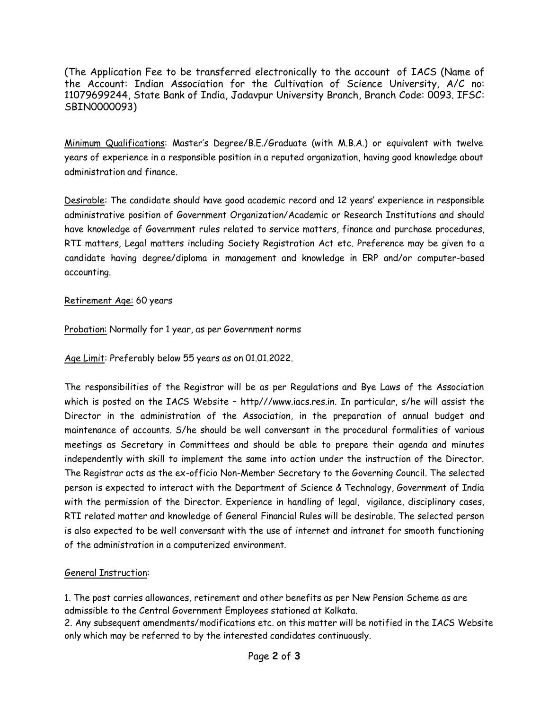(The Application Fee to be transferred electronically to the account of IACS (Name of the Account: Indian Association for the Cultivation of Science University, A/C no: 11079699244, State Bank of India, Jadavpur University Branch, Branch Code: 0093. IFSC: SBIN0000093)

Minimum Qualifications: Master's Degree/B.E./Graduate (with M.B.A.) or equivalent with twelve years of experience in a responsible position in a reputed organization, having good knowledge about administration and finance.

Desirable: The candidate should have good academic record and 12 years' experience in responsible administrative position of Government Organization/Academic or Research Institutions and should have knowledge of Government rules related to service matters, finance and purchase procedures, RTI matters, Legal matters including Society Registration Act etc. Preference may be given to a candidate having degree/diploma in management and knowledge in ERP and/or computer-based accounting.

### Retirement Age: 60 years

Probation: Normally for 1 year, as per Government norms

Age Limit: Preferably below 55 years as on 01.01.2022.

The responsibilities of the Registrar will be as per Regulations and Bye Laws of the Association which is posted on the IACS Website – http//[/www.iacs.res.in. I](http://www.iacs.res.in/)n particular, s/he will assist the Director in the administration of the Association, in the preparation of annual budget and maintenance of accounts. S/he should be well conversant in the procedural formalities of various meetings as Secretary in Committees and should be able to prepare their agenda and minutes independently with skill to implement the same into action under the instruction of the Director. The Registrar acts as the ex-officio Non-Member Secretary to the Governing Council. The selected person is expected to interact with the Department of Science & Technology, Government of India with the permission of the Director. Experience in handling of legal, vigilance, disciplinary cases, RTI related matter and knowledge of General Financial Rules will be desirable. The selected person is also expected to be well conversant with the use of internet and intranet for smooth functioning of the administration in a computerized environment.

# General Instruction:

1. The post carries allowances, retirement and other benefits as per New Pension Scheme as are admissible to the Central Government Employees stationed at Kolkata.

2. Any subsequent amendments/modifications etc. on this matter will be notified in the IACS Website only which may be referred to by the interested candidates continuously.